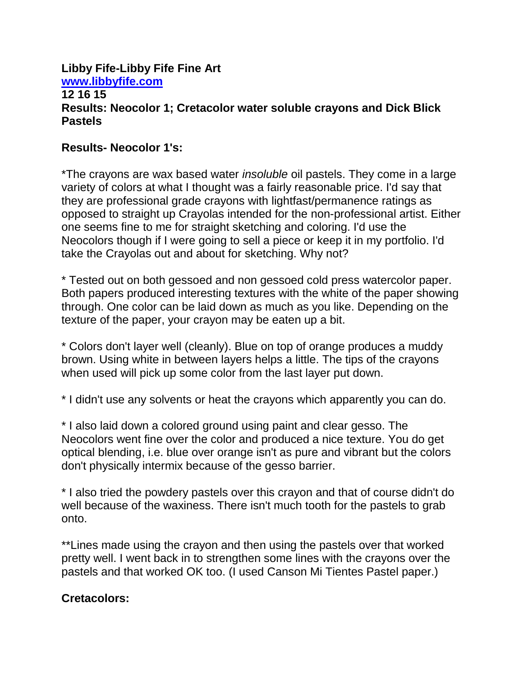## **Libby Fife-Libby Fife Fine Art [www.libbyfife.com](http://www.libbyfife.com/) 12 16 15 Results: Neocolor 1; Cretacolor water soluble crayons and Dick Blick Pastels**

# **Results- Neocolor 1's:**

\*The crayons are wax based water *insoluble* oil pastels. They come in a large variety of colors at what I thought was a fairly reasonable price. I'd say that they are professional grade crayons with lightfast/permanence ratings as opposed to straight up Crayolas intended for the non-professional artist. Either one seems fine to me for straight sketching and coloring. I'd use the Neocolors though if I were going to sell a piece or keep it in my portfolio. I'd take the Crayolas out and about for sketching. Why not?

\* Tested out on both gessoed and non gessoed cold press watercolor paper. Both papers produced interesting textures with the white of the paper showing through. One color can be laid down as much as you like. Depending on the texture of the paper, your crayon may be eaten up a bit.

\* Colors don't layer well (cleanly). Blue on top of orange produces a muddy brown. Using white in between layers helps a little. The tips of the crayons when used will pick up some color from the last layer put down.

\* I didn't use any solvents or heat the crayons which apparently you can do.

\* I also laid down a colored ground using paint and clear gesso. The Neocolors went fine over the color and produced a nice texture. You do get optical blending, i.e. blue over orange isn't as pure and vibrant but the colors don't physically intermix because of the gesso barrier.

\* I also tried the powdery pastels over this crayon and that of course didn't do well because of the waxiness. There isn't much tooth for the pastels to grab onto.

\*\*Lines made using the crayon and then using the pastels over that worked pretty well. I went back in to strengthen some lines with the crayons over the pastels and that worked OK too. (I used Canson Mi Tientes Pastel paper.)

# **Cretacolors:**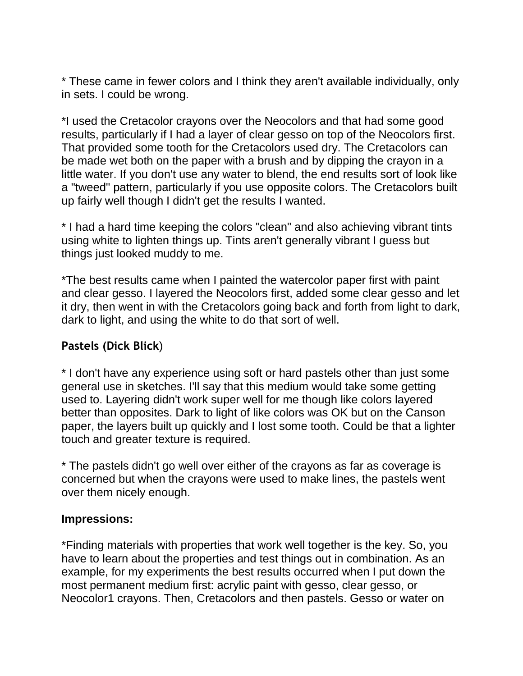\* These came in fewer colors and I think they aren't available individually, only in sets. I could be wrong.

\*I used the Cretacolor crayons over the Neocolors and that had some good results, particularly if I had a layer of clear gesso on top of the Neocolors first. That provided some tooth for the Cretacolors used dry. The Cretacolors can be made wet both on the paper with a brush and by dipping the crayon in a little water. If you don't use any water to blend, the end results sort of look like a "tweed" pattern, particularly if you use opposite colors. The Cretacolors built up fairly well though I didn't get the results I wanted.

\* I had a hard time keeping the colors "clean" and also achieving vibrant tints using white to lighten things up. Tints aren't generally vibrant I guess but things just looked muddy to me.

\*The best results came when I painted the watercolor paper first with paint and clear gesso. I layered the Neocolors first, added some clear gesso and let it dry, then went in with the Cretacolors going back and forth from light to dark, dark to light, and using the white to do that sort of well.

# **Pastels (Dick Blick**)

\* I don't have any experience using soft or hard pastels other than just some general use in sketches. I'll say that this medium would take some getting used to. Layering didn't work super well for me though like colors layered better than opposites. Dark to light of like colors was OK but on the Canson paper, the layers built up quickly and I lost some tooth. Could be that a lighter touch and greater texture is required.

\* The pastels didn't go well over either of the crayons as far as coverage is concerned but when the crayons were used to make lines, the pastels went over them nicely enough.

# **Impressions:**

\*Finding materials with properties that work well together is the key. So, you have to learn about the properties and test things out in combination. As an example, for my experiments the best results occurred when I put down the most permanent medium first: acrylic paint with gesso, clear gesso, or Neocolor1 crayons. Then, Cretacolors and then pastels. Gesso or water on